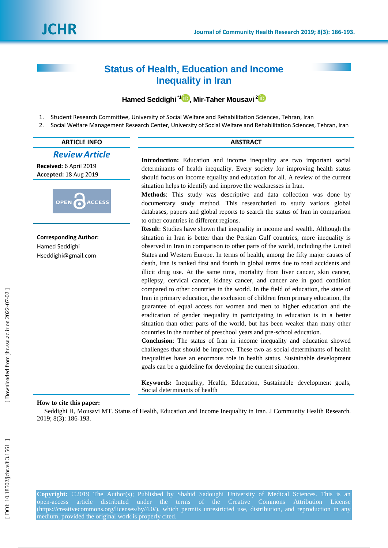# **Status of Health, Education and Income Inequality in Iran**

## **Hamed Seddighi \* 1 [,](https://orcid.org/0000-0002-6214-4830) Mir -Taher Mousavi 2**

- 1. Student Research Committee, University of Social Welfare and Rehabilitation Sciences, Tehran, Iran
- 2. Social Welfare Management Research Center, University of Social Welfare and Rehabilitation Sciences, Tehran, Iran

# **ARTICLE INFO ABSTRACT** *ReviewArticle*

**Received:**  6 April 201 9 **Accepted:** 18 Aug 201 9



**Corresponding Author:** Hamed Seddighi Hseddighi@gmail.com

**Introduction:** Education and income inequality are two important social determinants of health inequality. Every society for improving health status should focus on income equality and education for all. A review of the current situation helps to identify and improve the weaknesses in Iran.

**Method s**: This study was descriptive and data collection was done by documentary study method. This researchtried to study various global databases, papers and global reports to search the status of Iran in comparison to other countries in different regions.

**Result**: Studies have shown that inequality in income and wealth. Although the situation in Iran is better than the Persian Gulf countries, more inequality is observed in Iran in comparison to other parts of the world, including the United States and Western Europe. In terms of health, among the fifty major causes of death, Iran is ranked first and fourth in global terms due to road accidents and illicit drug use. At the same time, mortality from liver cancer, skin cancer, epilepsy, cervical cancer, kidney cancer, and cancer are in good condition compared to other countries in the world. In the field of education, the state of Iran in primary education, the exclusion of children from primary education, the guarantee of equal access for women and men to higher education and the eradication of gender inequality in participating in education is in a better situation than other parts of the world, but has been weaker than many other countries in the number of preschool years and pre -school education.

**Conclusion**: The status of Iran in income inequality and education showed challenges that should be improve. These two as social determinants of health inequalities have an enormous role in health status. Sustainable development goals can be a guideline for developing the current situation.

**Keywords:** Inequality, Health, Education, Sustainable development goals, Social determinants of health

## **How to cite this paper:**

Seddighi H, Mousavi MT. Status of Health, Education and Income Inequality in Iran. J Community Health Research. 2019; 8(3): 18 6 -19 3 .

**Copyright:** ©2019 The Author(s); Published by Shahid Sadoughi University of Medical Sciences. This is an open-access article distributed under the terms of the Creative Commons Attribution License (https://creativecommons.org/licenses/by/4.0/), which permits unrestricted use, distribution, and reproduction in any medium, provided the original work is properly cited.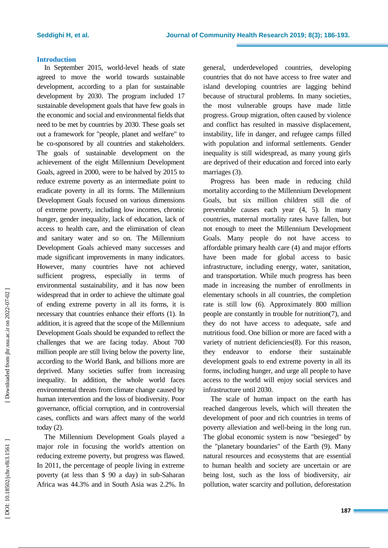#### **Introduction**

In September 2015, world -level heads of state agreed to move the world towards sustainable development, according to a plan for sustainable development by 2030. The program included 17 sustainable development goals that have few goals in the economic and social and environmental fields that need to be met by countries by 2030. These goals set out a framework for "people, planet and welfare" to be co -sponsored by all countries and stakeholders. The goals of sustainable development on the achievement of the eight Millennium Development Goals, agreed in 2000, were to be halved by 2015 to reduce extreme poverty as an intermediate point to eradicate poverty in all its forms. The Millennium Development Goals focused on various dimensions of extreme poverty, including low incomes, chronic hunger, gender inequality, lack of education, lack of access to health care, and the elimination of clean and sanitary water and so on. The Millennium Development Goals achieved many successes and made significant improvements in many indicators. However, many countries have not achieved sufficient progress, especially in terms environmental sustainability, and it has now been widespread that in order to achieve the ultimate goal of ending extreme poverty in all its forms, it is necessary that countries enhance their efforts (1). In addition, it is agreed that the scope of the Millennium Development Goals should be expanded to reflect the challenges that we are facing today. About 700 million people are still living below the poverty line, according to the World Bank, and billions more are deprived. Many societies suffer from increasing inequality. In addition, the whole world faces environmental threats from climate change caused by human intervention and the loss of biodiversity. Poor governance, official corruption, and in controversial cases, conflicts and wars affect many of the world today (2) .

The Millennium Development Goals played a major role in focusing the world's attention on reducing extreme poverty, but progress was flawed. In 2011, the percentage of people living in extreme poverty (at less than \$ 90 a day) in sub -Saharan Africa was 44.3% and in South Asia was 2.2%. In

general, underdeveloped countries, developing countries that do not have access to free water and island developing countries are lagging behind because of structural problems. In many societies, the most vulnerable groups have made little progress. Group migration, often caused by violence and conflict has resulted in massive displacement, instability , life in danger, and refugee camps filled with population and informal settlements. Gender inequality is still widespread, as many young girls are deprived of their education and forced into early marriages (3) .

Progress has been made in reducing child mortality according to the Millennium Development Goals, but six million children still die of preventable causes each year (4, 5). In many countries , maternal mortality rates have fallen, but not enough to meet the Millennium Development Goals. Many people do not have access to affordable primary health care (4) and major efforts have been made for global access to basic infrastructure, including energy, water, sanitation, and transportation. While much progress has been made in increasing the number of enrollments in elementary schools in all countries, the completion rate is still low (6). Approximately 800 million people are constantly in trouble for nutrition(7), and they do not have access to adequate, safe and nutritious food. One billion or more are faced with a variety of nutrient deficiencies(8) . For this reason, they endeavor to endorse their sustainable development goals to end extreme poverty in all its forms, including hunger, and urge all people to have access to the world will enjoy social services and infrastructure until 2030.

The scale of human impact on the earth has reached dangerous levels, which will threaten the development of poor and rich countries in terms of poverty alleviation and well -being in the long run. The global economic system is now "besieged" by the "planetary boundaries" of the Earth (9). Many natural resources and ecosystems that are essential to human health and society are uncertain or are being lost, such as the loss of biodiversity, air pollution, water scarcity and pollution, deforestation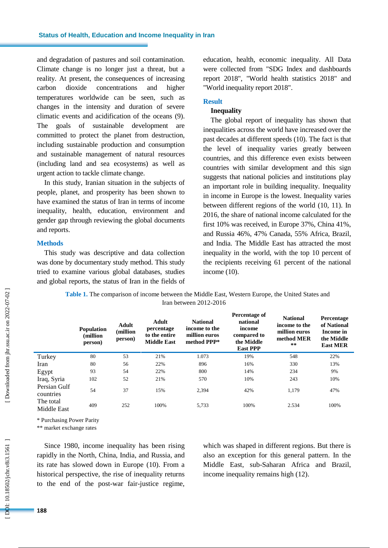and degradation of pastures and soil contamination. Climate change is no longer just a threat, but a reality. At present, the consequences of increasing carbon dioxide concentrations and higher temperatures worldwide can be seen, such as changes in the intensity and duration of severe climatic events and acidification of the oceans (9). The goals of sustainable development are committed to protect the planet from destruction, including sustainable production and consumption and sustainable management of natural resources (including land and sea ecosystems) as well as urgent action to tackle climate change.

In this study, Iranian situation in the subjects of people, planet , and prosperity has been shown to have examined the status of Iran in terms of income inequality, health, education, environment and gender gap through reviewing the global documents and reports.

#### **Method s**

This study was descriptive and data collection was done by documentary study method. This study tried to examine various global databases, studies and global reports, the status of Iran in the fields of education, health, economic inequality. All Data were collected from "SDG Index and dashboards report 2018", "World health statistics 2018" and "World inequality report 2018".

## **Result**

## **Inequality**

The global report of inequality has shown that inequalities across the world have increased over the past decades at different speeds (10). The fact is that the level of inequality varies greatly between countries, and this difference even exists between countries with similar development and this sign suggests that national policies and institutions play an important role in building inequality. Inequality in income in Europe is the lowest. Inequality varies between different regions of the world (10, 11). In 2016, the share of national income calculated for the first 10% was received, in Europe 37%, China 41%, and Russia 46%, 47% Canada, 55% Africa, Brazil , and India. The Middle East has attracted the most inequality in the world, with the top 10 percent of the recipients receiving 61 percent of the national income (10) .

**Table 1 .** The comparison of income between the Middle East, Western Europe, the United States and Iran between 2012 -2016

| <b>Population</b><br>(million)<br>person) | Adult<br>(million<br>person) | Adult<br>percentage<br>to the entire<br><b>Middle East</b> | <b>National</b><br>income to the<br>million euros<br>method PPP* | Percentage of<br>national<br>income<br>compared to<br>the Middle<br><b>East PPP</b> | <b>National</b><br>income to the<br>million euros<br>method MER<br>** | Percentage<br>of National<br>Income in<br>the Middle<br><b>East MER</b> |
|-------------------------------------------|------------------------------|------------------------------------------------------------|------------------------------------------------------------------|-------------------------------------------------------------------------------------|-----------------------------------------------------------------------|-------------------------------------------------------------------------|
| 80                                        | 53                           | 21%                                                        | 1.073                                                            | 19%                                                                                 | 548                                                                   | 22%                                                                     |
| 80                                        | 56                           | 22%                                                        | 896                                                              | 16%                                                                                 | 330                                                                   | 13%                                                                     |
| 93                                        | 54                           | 22%                                                        | 800                                                              | 14%                                                                                 | 234                                                                   | 9%                                                                      |
| 102                                       | 52                           | 21%                                                        | 570                                                              | 10%                                                                                 | 243                                                                   | 10%                                                                     |
| 54                                        | 37                           | 15%                                                        | 2,394                                                            | 42%                                                                                 | 1,179                                                                 | 47%                                                                     |
| 409                                       | 252                          | 100%                                                       | 5,733                                                            | 100%                                                                                | 2.534                                                                 | 100%                                                                    |
|                                           |                              |                                                            |                                                                  |                                                                                     |                                                                       |                                                                         |

\* Purchasing Power Parity

\*\* market exchange rates

Since 1980, income inequality has been rising rapidly in the North, China, India , and Russia, and its rate has slowed down in Europe (10). From a historical perspective, the rise of inequality returns to the end of the post -war fair -justice regime, which was shaped in different regions. But there is also an exception for this general pattern. In the Middle East, sub -Saharan Africa and Brazil, income inequality remains high (12) .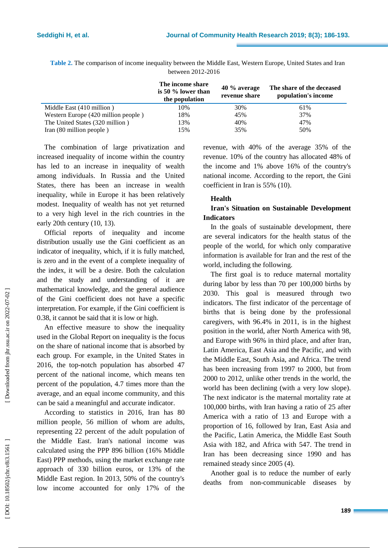Iran (80 million people

|                                     | The income share<br>is 50 % lower than<br>the population | 40 % average<br>revenue share | The share of the deceased<br>population's income |
|-------------------------------------|----------------------------------------------------------|-------------------------------|--------------------------------------------------|
| Middle East (410 million)           | 10%                                                      | 30%                           | 61%                                              |
| Western Europe (420 million people) | 18%                                                      | 45%                           | 37%                                              |
| The United States (320 million)     | 13%                                                      | 40%                           | 47%                                              |

 $15\%$   $35\%$  50%

**Table 2 .** The comparison of income inequality between the Middle East, Western Europe, United States and Iran between 2012 -2016

The combination of large privatization and increased inequality of income within the country has led to an increase in inequality of wealth among individuals. In Russia and the United States, there has been an increase in wealth inequality, while in Europe it has been relatively modest. Inequality of wealth has not yet returned to a very high level in the rich countries in the early 20th century (10, 13) .

Official reports of inequality and income distribution usually use the Gini coefficient as an indicator of inequality, which, if it is fully matched, is zero and in the event of a complete inequality of the index, it will be a desire. Both the calculation and the study and understanding of it are mathematical knowledge, and the general audience of the Gini coefficient does not have a specific interpretation. For example, if the Gini coefficient is 0.38, it cannot be said that it is low or high .

An effective measure to show the inequality used in the Global Report on inequality is the focus on the share of national income that is absorbed by each group. For example, in the United States in 2016, the top -notch population has absorbed 47 percent of the national income, which means ten percent of the population, 4.7 times more than the average, and an equal income community, and this can be said a meaningful and accurate indicator.

According to statistics in 2016, Iran has 80 million people, 56 million of whom are adults, representing 22 percent of the adult population of the Middle East. Iran's national income was calculated using the PPP 896 billion (16% Middle East) PPP methods, using the market exchange rate approach of 330 billion euros, or 13% of the Middle East region. In 2013, 50% of the country's low income accounted for only 17% of the revenue, with 40% of the average 35% of the revenue. 10% of the country has allocated 48% of the income and 1% above 16% of the country's national income. According to the report, the Gini coefficient in Iran is 55% (10) .

## **Health**

## **Iran's Situation on Sustainable Development Indicators**

In the goals of sustainable development, there are several indicators for the health status of the people of the world, for which only comparative information is available for Iran and the rest of the world, including the following.

The first goal is to reduce maternal mortality during labor by less than 70 per 100,000 births by 2030. This goal is measured through two indicators. The first indicator of the percentage of births that is being done by the professional caregivers, with 96.4% in 2011, is in the highest position in the world, after North America with 98, and Europe with 96% in third place, and after Iran, Latin America, East Asia and the Pacific, and with the Middle East, South Asia, and Africa. The trend has been increasing from 1997 to 2000, but from 2000 to 2012, unlike other trends in the world, the world has been declining (with a very low slope). The next indicator is the maternal mortality rate at 100,000 births, with Iran having a ratio of 25 after America with a ratio of 13 and Europe with a proportion of 16, followed by Iran, East Asia and the Pacific, Latin America, the Middle East South Asia with 182, and Africa with 547. The trend in Iran has been decreasing since 1990 and has remained steady since 2005 (4) .

Another goal is to reduce the number of early deaths from non -communicable diseases by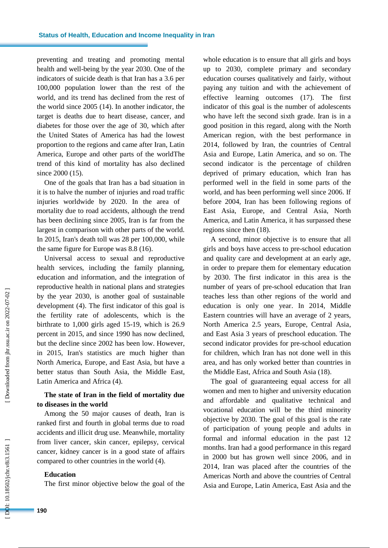preventing and treating and promoting mental health and well -being by the year 2030. One of the indicators of suicide death is that Iran has a 3.6 per 100,000 population lower than the rest of the world, and its trend has declined from the rest of the world since 2005 (14). In another indicator, the target is deaths due to heart disease, cancer , and diabetes for those over the age of 30, which after the United States of America has had the lowest proportion to the regions and came after Iran, Latin America, Europe and other parts of the worldThe trend of this kind of mortality has also declined since 2000 (15).

One of the goals that Iran has a bad situation in it is to halve the number of injuries and road traffic injuries worldwide by 2020. In the area of mortality due to road accidents, although the trend has been declining since 2005, Iran is far from the largest in comparison with other parts of the world. In 2015, Iran's death toll was 28 per 100,000, while the same figure for Europe was 8.8 (16) .

Universal access to sexual and reproductive health services, including the family planning, education and information, and the integration of reproductive health in national plans and strategies by the year 2030, is another goal of sustainable development (4) . The first indicator of this goal is the fertility rate of adolescents, which is the birthrate to 1,000 girls aged 15 -19, which is 26.9 percent in 2015, and since 1990 has now declined, but the decline since 2002 has been low. However, in 2015, Iran's statistics are much higher than North America, Europe , and East Asia, but have a better status than South Asia, the Middle East, Latin America and Africa (4) .

## **The state of Iran in the field of mortality due to diseases in the world**

Among the 50 major causes of death, Iran is ranked first and fourth in global terms due to road accidents and illicit drug use. Meanwhile, mortality from liver cancer, skin cancer, epilepsy, cervical cancer, kidney cancer is in a good state of affairs compared to other countries in the world (4) .

#### **Education**

The first minor objective below the goal of the

whole education is to ensure that all girls and boys up to 2030, complete primary and secondary education courses qualitatively and fairly, without paying any tuition and with the achievement of effective learning outcomes (17). The first indicator of this goal is the number of adolescents who have left the second sixth grade. Iran is in a good position in this regard, along with the North American region, with the best performance in 2014, followed by Iran, the countries of Central Asia and Europe, Latin America, and so on. The second indicator is the percentage of children deprived of primary education, which Iran has performed well in the field in some parts of the world, and has been performing well since 2006. If before 2004, Iran has been following regions of East Asia, Europe , and Central Asia, North America , and Latin America, it has surpassed these regions since then (18) .

A second, minor objective is to ensure that all girls and boys have access to pre -school education and quality care and development at an early age, in order to prepare them for elementary education by 2030. The first indicator in this area is the number of years of pre -school education that Iran teaches less than other regions of the world and education is only one year. In 2014, Middle Eastern countries will have an average of 2 years, North America 2.5 years, Europe, Central Asia , and East Asia 3 years of preschool education. The second indicator provides for pre -school education for children, which Iran has not done well in this area, and has only worked better than countries in the Middle East, Africa and South Asia (18) .

The goal of guaranteeing equal access for all women and men to higher and university education and affordable and qualitative technical and vocational education will be the third minority objective by 2030. The goal of this goal is the rate of participation of young people and adults in formal and informal education in the past 12 months. Iran had a good performance in this regard in 2000 but has grown well since 20 06, and in 2014, Iran was placed after the countries of the Americas North and above the countries of Central Asia and Europe, Latin America, East Asia and the

DOI: 10.18502/jchr.v8i3.1561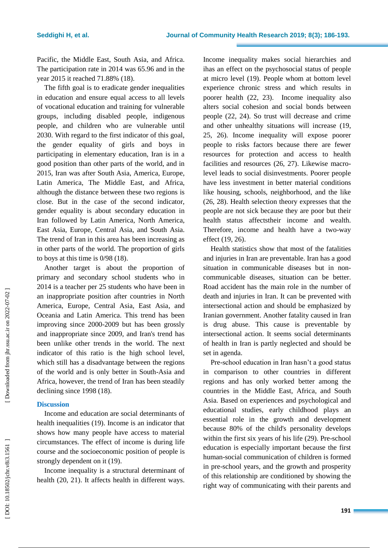Pacific, the Middle East, South Asia , and Africa. The participation rate in 2014 was 65.96 and in the year 2015 it reached 71.88% (18) .

The fifth goal is to eradicate gender inequalities in education and ensure equal access to all levels of vocational education and training for vulnerable groups, including disabled people, indigenous people, and children who are vulnerable until 2030. With regard to the first indicator of this goal, the gender equality of girls and boys in participating in elementary education, Iran is in a good position than other parts of the world, and in 2015, Iran was after South Asia, America, Europe, Latin America, The Middle East , and Africa, although the distance between these two regions is close. But in the case of the second indicator, gender equality is about secondary education in Iran followed by Latin America, North America, East Asia, Europe, Central Asia , and South Asia. The trend of Iran in this area has been increasing as in other parts of the world. The proportion of girls to boys at this time is 0/98 (18) .

Another target is about the proportion of primary and secondary school students who in 2014 is a teacher per 25 students who have been in an inappropriate position after countries in North America, Europe, Central Asia, East Asia , and Oceania and Latin America. This trend has been improving since 2000 -2009 but has been grossly and inappropriate since 2009, and Iran's trend has been unlike other trends in the world. The next indicator of this ratio is the high school level, which still has a disadvantage between the regions of the world and is only better in South -Asia and Africa, however, the trend of Iran has been steadily declining since 1998 (18) .

#### **Discussion**

Income and education are social determinants of health inequalities (19) . Income is an indicator that shows how many people have access to material circumstances. The effect of income is during life course and the socioeconomic position of people is strongly dependent on it (19) .

Income inequality is a structural determinant of health (20, 21). It affect s health in different ways.

Income inequality make s social hierarchies and ihas an effect on the psychosocial status of people at micro level (19). People whom at bottom level experience chronic stress and which results in poorer health (22, 23). Income inequality also alters social cohesion and social bonds between people (22, 24). So trust will decrease and crime and other unhealthy situation s will increase (19, 25, 26). Income inequality will expose poorer people to risks factors because there are fewer resources for protection and access to health facilities and resources (26, 27). Likewise macrolevel leads to social disinvestments. Poorer people have less investment in better material conditions like housing, schools, neighborhood, and the like (26, 28). Health selection theory expresses that the people are not sick because they are poor but their health status affectstheir income and wealth. Therefore, income and health have a two-way effect (19, 26) .

Health statistics show that most of the fatalities and injuries in Iran are preventable. Iran has a good situation in communicable diseases but in non communicable diseases, situation can be better. Road accident has the main role in the number of death and injuries in Iran. It can be prevented with intersectional action and should be emphasized by Iranian government. Another fatality caused in Iran is drug abuse. This cause is preventable by intersectional action. It seem s social determinants of health in Iran is partly neglected and should be set in agenda.

Pre -school education in Iran hasn't a good status in comparison to other countries in different regions and has only worked better among the countries in the Middle East, Africa , and South Asia. Based on experiences and psychological and educational studies, early childhood play s an essential role in the growth and development because 80% of the child's personality develops within the first six years of his life (29). Pre -school education is especially important because the first human -social communication of children is formed in pre -school years, and the growth and prosperity of this relationship are conditioned by showing the right way of communicating with their parents and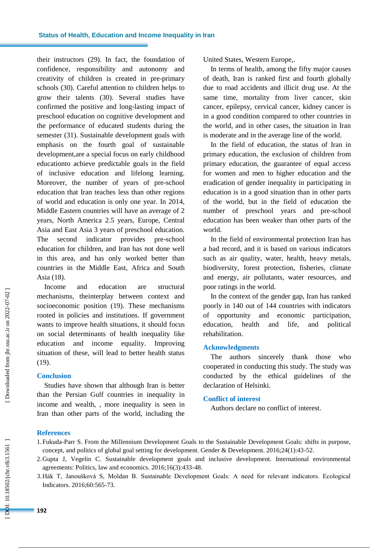their instructors (29). In fact, the foundation of confidence, responsibility and autonomy and creativity of children is created in pre -primary schools (30). Careful attention to children helps to grow their talents (30). Several studies have confirmed the positive and long -lasting impact of preschool education on cognitive development and the performance of educated students during the semester (31). Sustainable development goals with emphasis on the fourth goal of sustainable development,are a special focus on early childhood educationto achieve predictable goals in the field of inclusive education and lifelong learning . Moreover, the number of years of pre -school education that Iran teaches less than other regions of world and education is only one year. In 2014, Middle Eastern countries will have an average of 2 years, North America 2.5 years, Europe, Central Asia and East Asia 3 years of preschool education. The second indicator provides pre-school education for children, and Iran has not done well in this area, and has only worked better than countries in the Middle East, Africa and South Asia (18).

Income and education are structural mechanism s , theinterplay between context and socioeconomic position (19). These mechanisms rooted in policies and institutions. If government want s to improve health situation s, it should focus on social determinants of health inequality like education and income equality. Improving situation of these, will lead to better health status (19).

## **Conclusion**

Studies have shown that although Iran is better than the Persian Gulf countries in inequality in income and wealth, , more inequality is seen in Iran than other parts of the world, including the United States, Western Europe, .

In terms of health, among the fifty major causes of death, Iran is ranked first and fourth globally due to road accidents and illicit drug use. At the same time, mortality from liver cancer, skin cancer, epilepsy, cervical cancer, kidney cancer is in a good condition compared to other countries in the world, and in other cases, the situation in Iran is moderate and in the average line of the world.

In the field of education, the status of Iran in primary education, the exclusion of children from primary education, the guarantee of equal access for women and men to higher education and the eradication of gender inequality in participating in education is in a good situation than in other parts of the world, but in the field of education the number of preschool years and pre -school education has been weaker than other parts of the world.

In the field of environmental protection Iran has a bad record, and it is based on various indicators such as air quality, water, health, heavy metals, biodiversity, forest protection, fisheries, climate and energy, air pollutants, water resources, and poor ratings in the world.

In the context of the gender gap, Iran has ranked poorly in 140 out of 144 countries with indicators of opportunity and economic participation, education, health and life, and political rehabilitation.

## **Acknowledgments**

The authors sincerely thank those who cooperated in conducting this study. The study was conducted by the ethical guidelines of the declaration of Helsinki.

## **Conflict of interest**

Authors declare no conflict of interest.

## **Reference s**

- 1.Fukuda -Parr S. From the Millennium Development Goals to the Sustainable Development Goals: shifts in purpose, concept, and politics of global goal setting for development. Gender & Development. 2016;24(1):43 -52.
- 2.Gupta J, Vegelin C. Sustainable development goals and inclusive development. International environmental agreements: Politics, law and economics. 2016;16(3):433 -48.
- 3.Hák T, Janoušková S, Moldan B. Sustainable Development Goals: A need for relevant indicators. Ecological Indicators. 2016;60:565 -73.